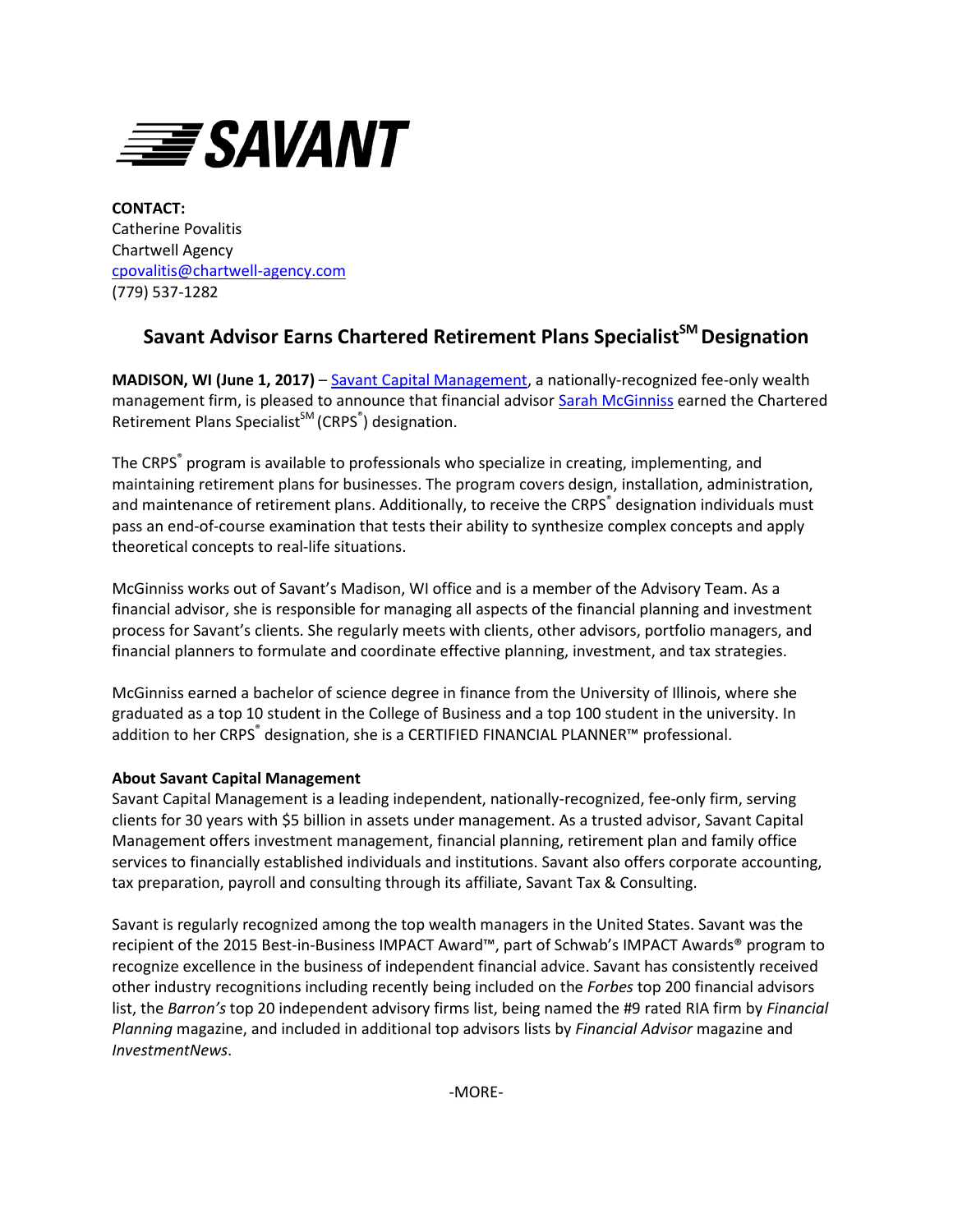

**CONTACT:** Catherine Povalitis Chartwell Agency [cpovalitis@chartwell-agency.com](mailto:cpovalitis@chartwell-agency.com) (779) 537-1282

## **Savant Advisor Earns Chartered Retirement Plans SpecialistSM Designation**

**MADISON, WI (June 1, 2017)** – [Savant Capital Management,](http://www.savantcapital.com/) a nationally-recognized fee-only wealth management firm, is pleased to announce that financial advisor **Sarah McGinniss** earned the Chartered Retirement Plans Specialist<sup>SM</sup> (CRPS<sup>®</sup>) designation.

The CRPS<sup>®</sup> program is available to professionals who specialize in creating, implementing, and maintaining retirement plans for businesses. The program covers design, installation, administration, and maintenance of retirement plans. Additionally, to receive the CRPS<sup>®</sup> designation individuals must pass an end-of-course examination that tests their ability to synthesize complex concepts and apply theoretical concepts to real-life situations.

McGinniss works out of Savant's Madison, WI office and is a member of the Advisory Team. As a financial advisor, she is responsible for managing all aspects of the financial planning and investment process for Savant's clients. She regularly meets with clients, other advisors, portfolio managers, and financial planners to formulate and coordinate effective planning, investment, and tax strategies.

McGinniss earned a bachelor of science degree in finance from the University of Illinois, where she graduated as a top 10 student in the College of Business and a top 100 student in the university. In addition to her CRPS® designation, she is a CERTIFIED FINANCIAL PLANNER™ professional.

## **About Savant Capital Management**

Savant Capital Management is a leading independent, nationally-recognized, fee-only firm, serving clients for 30 years with \$5 billion in assets under management. As a trusted advisor, Savant Capital Management offers investment management, financial planning, retirement plan and family office services to financially established individuals and institutions. Savant also offers corporate accounting, tax preparation, payroll and consulting through its affiliate, Savant Tax & Consulting.

Savant is regularly recognized among the top wealth managers in the United States. Savant was the recipient of the 2015 Best-in-Business IMPACT Award™, part of Schwab's IMPACT Awards® program to recognize excellence in the business of independent financial advice. Savant has consistently received other industry recognitions including recently being included on the *Forbes* top 200 financial advisors list, the *Barron's* top 20 independent advisory firms list, being named the #9 rated RIA firm by *Financial Planning* magazine, and included in additional top advisors lists by *Financial Advisor* magazine and *InvestmentNews*.